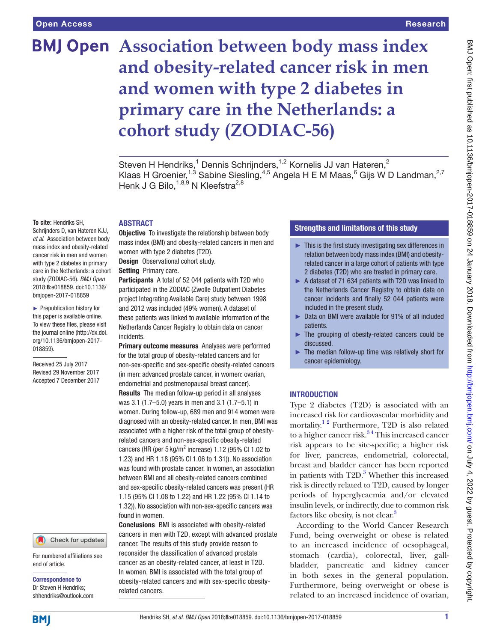# **BMJ Open** Association between body mass index **and obesity-related cancer risk in men and women with type 2 diabetes in primary care in the Netherlands: a cohort study (ZODIAC-56)**

Steven H Hendriks,<sup>1</sup> Dennis Schrijnders,<sup>1,2</sup> Kornelis JJ van Hateren,<sup>2</sup> Klaas H Groenier,<sup>1,3</sup> Sabine Siesling,<sup>4,5</sup> Angela H E M Maas,<sup>6</sup> Gijs W D Landman,<sup>2,7</sup> Henk J G Bilo, $^{1,8,9}$  N Kleefstra $^{2,8}$ 

**To cite:** Hendriks SH,

Schrijnders D, van Hateren KJJ, *et al*. Association between body mass index and obesity-related cancer risk in men and women with type 2 diabetes in primary care in the Netherlands: a cohort study (ZODIAC-56). *BMJ Open* 2018;8:e018859. doi:10.1136/ bmjopen-2017-018859

► Prepublication history for this paper is available online. To view these files, please visit the journal online [\(http://dx.doi.](http://dx.doi.org/10.1136/bmjopen-2017-018859) [org/10.1136/bmjopen-2017-](http://dx.doi.org/10.1136/bmjopen-2017-018859) [018859\)](http://dx.doi.org/10.1136/bmjopen-2017-018859).

Received 25 July 2017 Revised 29 November 2017 Accepted 7 December 2017

#### Check for updates

For numbered affiliations see end of article.

Correspondence to Dr Steven H Hendriks; shhendriks@outlook.com

## **ABSTRACT**

**Objective** To investigate the relationship between body mass index (BMI) and obesity-related cancers in men and women with type 2 diabetes (T2D).

Design Observational cohort study.

Setting Primary care.

Participants A total of 52 044 patients with T2D who participated in the ZODIAC (Zwolle Outpatient Diabetes project Integrating Available Care) study between 1998 and 2012 was included (49% women). A dataset of these patients was linked to available information of the Netherlands Cancer Registry to obtain data on cancer **incidents** 

**Primary outcome measures** Analyses were performed for the total group of obesity-related cancers and for non-sex-specific and sex-specific obesity-related cancers (in men: advanced prostate cancer, in women: ovarian, endometrial and postmenopausal breast cancer). Results The median follow-up period in all analyses was 3.1 (1.7–5.0) years in men and 3.1 (1.7–5.1) in women. During follow-up, 689 men and 914 women were diagnosed with an obesity-related cancer. In men, BMI was associated with a higher risk of the total group of obesityrelated cancers and non-sex-specific obesity-related cancers (HR (per  $5 \text{ kg/m}^2$  increase) 1.12 (95% CI 1.02 to 1.23) and HR 1.18 (95% CI 1.06 to 1.31)). No association was found with prostate cancer. In women, an association between BMI and all obesity-related cancers combined and sex-specific obesity-related cancers was present (HR 1.15 (95% CI 1.08 to 1.22) and HR 1.22 (95% CI 1.14 to 1.32)). No association with non-sex-specific cancers was found in women.

Conclusions BMI is associated with obesity-related cancers in men with T2D, except with advanced prostate cancer. The results of this study provide reason to reconsider the classification of advanced prostate cancer as an obesity-related cancer, at least in T2D. In women, BMI is associated with the total group of obesity-related cancers and with sex-specific obesityrelated cancers.

# Strengths and limitations of this study

- ► This is the first study investigating sex differences in relation between body mass index (BMI) and obesityrelated cancer in a large cohort of patients with type 2 diabetes (T2D) who are treated in primary care.
- ► A dataset of 71 634 patients with T2D was linked to the Netherlands Cancer Registry to obtain data on cancer incidents and finally 52 044 patients were included in the present study.
- ► Data on BMI were available for 91% of all included patients.
- ► The grouping of obesity-related cancers could be discussed.
- ► The median follow-up time was relatively short for cancer epidemiology.

## **INTRODUCTION**

Type 2 diabetes (T2D) is associated with an increased risk for cardiovascular morbidity and mortality.<sup>1 2</sup> Furthermore, T2D is also related to a higher cancer risk.<sup>34</sup> This increased cancer risk appears to be site-specific; a higher risk for liver, pancreas, endometrial, colorectal, breast and bladder cancer has been reported in patients with T2D.<sup>3</sup> Whether this increased risk is directly related to T2D, caused by longer periods of hyperglycaemia and/or elevated insulin levels, or indirectly, due to common risk factors like obesity, is not clear.<sup>3</sup>

According to the World Cancer Research Fund, being overweight or obese is related to an increased incidence of oesophageal, stomach (cardia), colorectal, liver, gallbladder, pancreatic and kidney cancer in both sexes in the general population. Furthermore, being overweight or obese is related to an increased incidence of ovarian,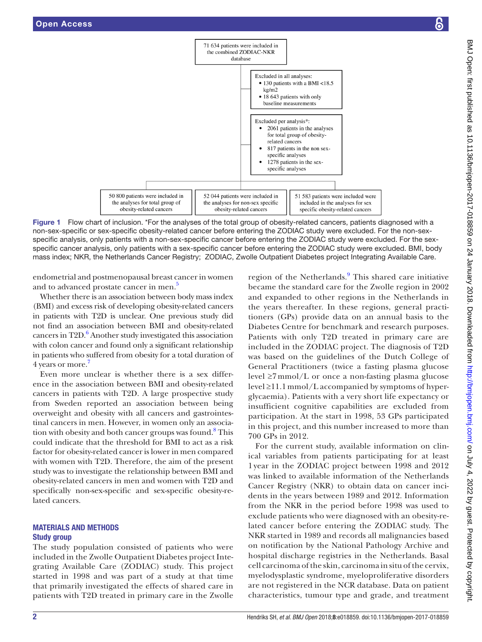

Figure 1 Flow chart of inclusion. \*For the analyses of the total group of obesity-related cancers, patients diagnosed with a non-sex-specific or sex-specific obesity-related cancer before entering the ZODIAC study were excluded. For the non-sexspecific analysis, only patients with a non-sex-specific cancer before entering the ZODIAC study were excluded. For the sexspecific cancer analysis, only patients with a sex-specific cancer before entering the ZODIAC study were excluded. BMI, body mass index; NKR, the Netherlands Cancer Registry; ZODIAC, Zwolle Outpatient Diabetes project Integrating Available Care.

endometrial and postmenopausal breast cancer in women and to advanced prostate cancer in men.<sup>[5](#page-7-0)</sup>

Whether there is an association between body mass index (BMI) and excess risk of developing obesity-related cancers in patients with T2D is unclear. One previous study did not find an association between BMI and obesity-related cancers in T2D.<sup>6</sup> Another study investigated this association with colon cancer and found only a significant relationship in patients who suffered from obesity for a total duration of 4 years or more.<sup>7</sup>

Even more unclear is whether there is a sex difference in the association between BMI and obesity-related cancers in patients with T2D. A large prospective study from Sweden reported an association between being overweight and obesity with all cancers and gastrointestinal cancers in men. However, in women only an associa-tion with obesity and both cancer groups was found.<sup>[8](#page-7-3)</sup> This could indicate that the threshold for BMI to act as a risk factor for obesity-related cancer is lower in men compared with women with T2D. Therefore, the aim of the present study was to investigate the relationship between BMI and obesity-related cancers in men and women with T2D and specifically non-sex-specific and sex-specific obesity-related cancers.

## Materials and methods Study group

The study population consisted of patients who were included in the Zwolle Outpatient Diabetes project Integrating Available Care (ZODIAC) study. This project started in 1998 and was part of a study at that time that primarily investigated the effects of shared care in patients with T2D treated in primary care in the Zwolle

<span id="page-1-0"></span>region of the Netherlands.<sup>[9](#page-7-4)</sup> This shared care initiative became the standard care for the Zwolle region in 2002 and expanded to other regions in the Netherlands in the years thereafter. In these regions, general practitioners (GPs) provide data on an annual basis to the Diabetes Centre for benchmark and research purposes. Patients with only T2D treated in primary care are included in the ZODIAC project. The diagnosis of T2D was based on the guidelines of the Dutch College of General Practitioners (twice a fasting plasma glucose level ≥7 mmol/L or once a non-fasting plasma glucose level ≥11.1 mmol/L accompanied by symptoms of hyperglycaemia). Patients with a very short life expectancy or insufficient cognitive capabilities are excluded from participation. At the start in 1998, 53 GPs participated in this project, and this number increased to more than 700 GPs in 2012.

For the current study, available information on clinical variables from patients participating for at least 1 year in the ZODIAC project between 1998 and 2012 was linked to available information of the Netherlands Cancer Registry (NKR) to obtain data on cancer incidents in the years between 1989 and 2012. Information from the NKR in the period before 1998 was used to exclude patients who were diagnosed with an obesity-related cancer before entering the ZODIAC study. The NKR started in 1989 and records all malignancies based on notification by the National Pathology Archive and hospital discharge registries in the Netherlands. Basal cell carcinoma of the skin, carcinoma in situ of the cervix, myelodysplastic syndrome, myeloproliferative disorders are not registered in the NCR database. Data on patient characteristics, tumour type and grade, and treatment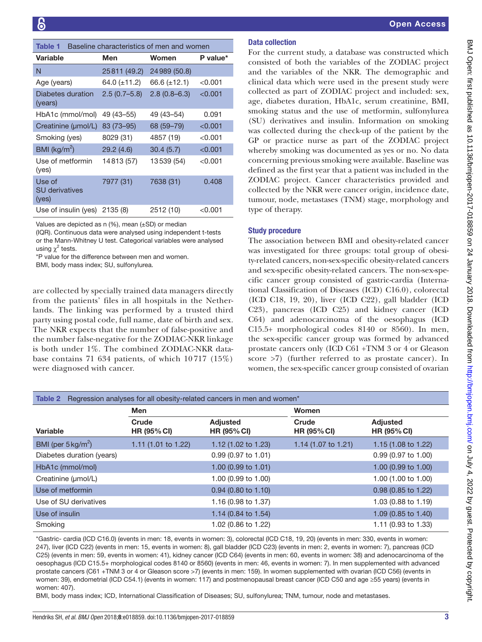<span id="page-2-0"></span>

| Table 1                                  |                | Baseline characteristics of men and women |           |
|------------------------------------------|----------------|-------------------------------------------|-----------|
| Variable                                 | Men            | Women                                     | P value*  |
| N                                        | 25811 (49.2)   | 24 989 (50.8)                             |           |
| Age (years)                              | 64.0 (±11.2)   | 66.6 (±12.1)                              | < 0.001   |
| Diabetes duration<br>(years)             | $2.5(0.7-5.8)$ | $2.8(0.8-6.3)$                            | $<$ 0.001 |
| HbA1c (mmol/mol)                         | 49 (43–55)     | 49 (43–54)                                | 0.091     |
| Creatinine (umol/L)                      | 83 (73-95)     | 68 (59–79)                                | < 0.001   |
| Smoking (yes)                            | 8029 (31)      | 4857 (19)                                 | < 0.001   |
| BMI ( $\text{kg/m}^2$ )                  | 29.2(4.6)      | 30.4(5.7)                                 | < 0.001   |
| Use of metformin<br>(yes)                | 14813 (57)     | 13539 (54)                                | < 0.001   |
| Use of<br><b>SU</b> derivatives<br>(yes) | 7977 (31)      | 7638 (31)                                 | 0.408     |
| Use of insulin (yes)                     | 2135 (8)       | 2512 (10)                                 | < 0.001   |

Values are depicted as n (%), mean (±SD) or median

(IQR). Continuous data were analysed using independent t-tests or the Mann-Whitney U test. Categorical variables were analysed using  $\chi^2$  tests.

\*P value for the difference between men and women.

BMI, body mass index; SU, sulfonylurea.

are collected by specially trained data managers directly from the patients' files in all hospitals in the Netherlands. The linking was performed by a trusted third party using postal code, full name, date of birth and sex. The NKR expects that the number of false-positive and the number false-negative for the ZODIAC-NKR linkage is both under 1%. The combined ZODIAC-NKR database contains 71 634 patients, of which  $10717$  ( $15\%$ ) were diagnosed with cancer.

## Data collection

For the current study, a database was constructed which consisted of both the variables of the ZODIAC project and the variables of the NKR. The demographic and clinical data which were used in the present study were collected as part of ZODIAC project and included: sex, age, diabetes duration, HbA1c, serum creatinine, BMI, smoking status and the use of metformin, sulfonylurea (SU) derivatives and insulin. Information on smoking was collected during the check-up of the patient by the GP or practice nurse as part of the ZODIAC project whereby smoking was documented as yes or no. No data concerning previous smoking were available. Baseline was defined as the first year that a patient was included in the ZODIAC project. Cancer characteristics provided and collected by the NKR were cancer origin, incidence date, tumour, node, metastases (TNM) stage, morphology and type of therapy.

## Study procedure

The association between BMI and obesity-related cancer was investigated for three groups: total group of obesity-related cancers, non-sex-specific obesity-related cancers and sex-specific obesity-related cancers. The non-sex-specific cancer group consisted of gastric-cardia (International Classification of Diseases (ICD) C16.0), colorectal (ICD C18, 19, 20), liver (ICD C22), gall bladder (ICD C23), pancreas (ICD C25) and kidney cancer (ICD C64) and adenocarcinoma of the oesophagus (ICD C15.5+ morphological codes 8140 or 8560). In men, the sex-specific cancer group was formed by advanced prostate cancers only (ICD C61 +TNM 3 or 4 or Gleason score >7) (further referred to as prostate cancer). In women, the sex-specific cancer group consisted of ovarian

<span id="page-2-1"></span>

| Table 2                       |                             | Regression analyses for all obesity-related cancers in men and women* |                                |                                       |
|-------------------------------|-----------------------------|-----------------------------------------------------------------------|--------------------------------|---------------------------------------|
|                               | <b>Men</b>                  |                                                                       | Women                          |                                       |
| Variable                      | Crude<br><b>HR (95% CI)</b> | <b>Adjusted</b><br><b>HR (95% CI)</b>                                 | Crude<br><b>HR (95% CI)</b>    | <b>Adjusted</b><br><b>HR (95% CI)</b> |
| BMI (per $5 \text{ kg/m}^2$ ) | 1.11 (1.01 to 1.22)         | 1.12 (1.02 to 1.23)                                                   | 1.14 $(1.07 \text{ to } 1.21)$ | 1.15 (1.08 to 1.22)                   |
| Diabetes duration (years)     |                             | $0.99(0.97 \text{ to } 1.01)$                                         |                                | $0.99(0.97 \text{ to } 1.00)$         |
| HbA1c (mmol/mol)              |                             | 1.00 (0.99 to 1.01)                                                   |                                | 1.00 (0.99 to 1.00)                   |
| Creatinine (µmol/L)           |                             | 1.00 (0.99 to 1.00)                                                   |                                | 1.00 (1.00 to 1.00)                   |
| Use of metformin              |                             | $0.94$ (0.80 to 1.10)                                                 |                                | 0.98 (0.85 to 1.22)                   |
| Use of SU derivatives         |                             | 1.16 (0.98 to 1.37)                                                   |                                | 1.03 (0.88 to 1.19)                   |
| Use of insulin                |                             | 1.14 (0.84 to 1.54)                                                   |                                | 1.09 (0.85 to 1.40)                   |
| Smoking                       |                             | 1.02 (0.86 to 1.22)                                                   |                                | 1.11 (0.93 to 1.33)                   |

\*Gastric- cardia (ICD C16.0) (events in men: 18, events in women: 3), colorectal (ICD C18, 19, 20) (events in men: 330, events in women: 247), liver (ICD C22) (events in men: 15, events in women: 8), gall bladder (ICD C23) (events in men: 2, events in women: 7), pancreas (ICD C25) (events in men: 59, events in women: 41), kidney cancer (ICD C64) (events in men: 60, events in women: 38) and adenocarcinoma of the oesophagus (ICD C15.5+ morphological codes 8140 or 8560) (events in men: 46, events in women: 7). In men supplemented with advanced prostate cancers (C61 +TNM 3 or 4 or Gleason score >7) (events in men: 159). In women supplemented with ovarian (ICD C56) (events in women: 39), endometrial (ICD C54.1) (events in women: 117) and postmenopausal breast cancer (ICD C50 and age ≥55 years) (events in women: 407).

BMI, body mass index; ICD, International Classification of Diseases; SU, sulfonylurea; TNM, tumour, node and metastases.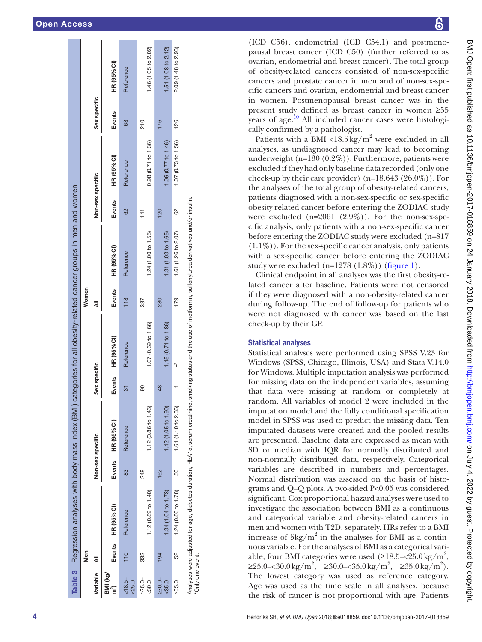|                          |     |                       |                  | Table 3 Regression analyses with body mass index (BMI) categories for all obesity-related cancer groups in men and women                                      |              |                     |        |                     |                  |                     |              |                     |
|--------------------------|-----|-----------------------|------------------|---------------------------------------------------------------------------------------------------------------------------------------------------------------|--------------|---------------------|--------|---------------------|------------------|---------------------|--------------|---------------------|
|                          | Men |                       |                  |                                                                                                                                                               |              |                     | Women  |                     |                  |                     |              |                     |
| Variable                 |     |                       | Non-sex specific |                                                                                                                                                               | Sex specific |                     |        |                     | Non-sex specific |                     | Sex specific |                     |
| BMI (kg/<br>ົາ           |     | Events HR (95% CI)    |                  | Events HR (95% CI)                                                                                                                                            |              | Events HR (95% CI)  | Events | HR (95% CI)         | Events           | HR (95% CI)         | Events       | HR (95% CI)         |
| $\geq 18.5 -$<br>$-25.0$ |     | Reference             | 83               | Reference                                                                                                                                                     | ᢛ            | Reference           | 118    | Reference           | $\overline{62}$  | Reference           | 63           | Reference           |
| $225.0 -$<br>$-30.0$     | 333 | 1.12 (0.89 to 1.40)   | 248              | 1.12 (0.86 to 1.46)                                                                                                                                           | 8            | 1.07 (0.69 to 1.66) | 337    | 1.24 (1.00 to 1.55) | $\frac{1}{4}$    | 0.98(0.71 to 1.36)  | 210          | 1.46 (1.05 to 2.02) |
| $>30.0-$<br>$<$ 35.0     | 194 | $1.34$ (1.04 to 1.73) | 152              | 1.42 (1.05 to 1.90)                                                                                                                                           | 48           | 1.15 (0.71 to 1.86) | 280    | 1.31 (1.03 to 1.65) | 120              | 1.06 (0.77 to 1.46) | 176          | 1.51 (1.08 to 2.12) |
| >35.0                    | 52  | 1.24 (0.86 to 1.78)   | 50               | 1.61 (1.10 to 2.36)                                                                                                                                           |              |                     | 179    | 1.61 (1.26 to 2.07) | 62               | 1.07 (0.73 to 1.56) | 126          | 2.09 (1.48 to 2.93) |
| *Only one event          |     |                       |                  | Analyses were adjusted for age, diabetes duration, HbA1c, serum creatinine, smoking status and the use of metformin, sulfonylurea derivatives and/or insulin. |              |                     |        |                     |                  |                     |              |                     |

(ICD C56), endometrial (ICD C54.1) and postmeno pausal breast cancer (ICD C50) (further referred to as ovarian, endometrial and breast cancer). The total group of obesity-related cancers consisted of non-sex-specific cancers and prostate cancer in men and of non-sex-spe cific cancers and ovarian, endometrial and breast cancer in women. Postmenopausal breast cancer was in the present study defined as breast cancer in women ≥55 years of age.<sup>10</sup> All included cancer cases were histologi-

cally confirmed by a pathologist. Patients with a BMI <18.5 kg/m<sup>2</sup> were excluded in all analyses, as undiagnosed cancer may lead to becoming underweight (n=130 (0.2%)). Furthermore, patients were excluded if they had only baseline data recorded (only one check-up by their care provider)  $(n=18.643 (26.0\%))$ . For the analyses of the total group of obesity-related cancers, patients diagnosed with a non-sex-specific or sex-specific obesity-related cancer before entering the ZODIAC study were excluded (n=2061 (2.9%)). For the non-sex-specific analysis, only patients with a non-sex-specific cancer before entering the ZODIAC study were excluded (n=817  $(1.1\%)$ ). For the sex-specific cancer analysis, only patients with a sex-specific cancer before entering the ZODIAC study were excluded  $(n=1278 (1.8\%))$  ([figure](#page-1-0) 1). Clinical endpoint in all analyses was the first obesity-re lated cancer after baseline. Patients were not censored if they were diagnosed with a non-obesity-related cancer during follow-up. The end of follow-up for patients who were not diagnosed with cancer was based on the last Statistical analyses were performed using SPSS V.23 for Windows (SPSS, Chicago, Illinois, USA) and Stata V.14.0 for Windows. Multiple imputation analysis was performed for missing data on the independent variables, assuming that data were missing at random or completely at random. All variables of model 2 were included in the imputation model and the fully conditional specification model in SPSS was used to predict the missing data. Ten imputated datasets were created and the pooled results are presented. Baseline data are expressed as mean with SD or median with IQR for normally distributed and non-normally distributed data, respectively. Categorical variables are described in numbers and percentages. Normal distribution was assessed on the basis of histo grams and Q–Q plots. A two-sided P<0.05 was considered significant. Cox proportional hazard analyses were used to investigate the association between BMI as a continuous and categorical variable and obesity-related cancers in men and women with T2D, separately. HRs refer to a BMI increase of  $5\text{kg/m}^2$  in the analyses for BMI as a continuous variable. For the analyses of BMI as a categorical vari able, four BMI categories were used  $(≥18.5-≤25.0 \text{kg/m}^2,$  $\geq 25.0 - \langle 30.0 \,\mathrm{kg/m^2}, \quad \geq 30.0 - \langle 35.0 \,\mathrm{kg/m^2}, \quad \geq 35.0 \,\mathrm{kg/m^2}.$ The lowest category was used as reference category. Age was used as the time scale in all analyses, because the risk of cancer is not proportional with age. Patients

check-up by their GP.

<span id="page-3-0"></span>Statistical analyses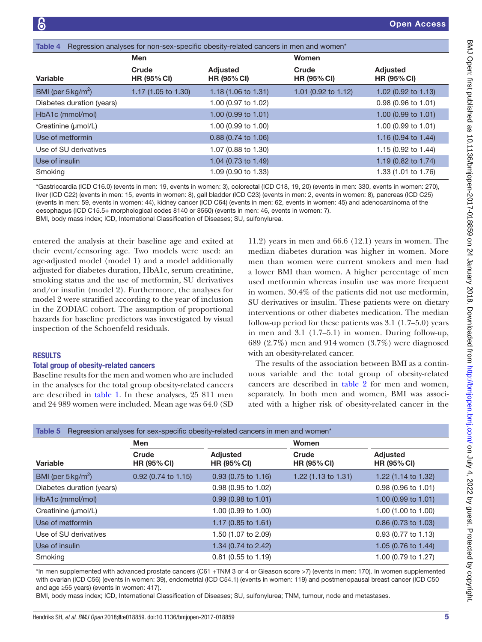<span id="page-4-0"></span>

| Table 4                       |                             | Regression analyses for non-sex-specific obesity-related cancers in men and women* |                             |                                       |
|-------------------------------|-----------------------------|------------------------------------------------------------------------------------|-----------------------------|---------------------------------------|
|                               | Men                         |                                                                                    | <b>Women</b>                |                                       |
| Variable                      | Crude<br><b>HR (95% CI)</b> | <b>Adjusted</b><br><b>HR (95% CI)</b>                                              | Crude<br><b>HR (95% CI)</b> | <b>Adjusted</b><br><b>HR (95% CI)</b> |
| BMI (per $5 \text{ kg/m}^2$ ) | 1.17 (1.05 to 1.30)         | 1.18 (1.06 to 1.31)                                                                | 1.01 (0.92 to 1.12)         | 1.02 (0.92 to 1.13)                   |
| Diabetes duration (years)     |                             | 1.00 (0.97 to 1.02)                                                                |                             | 0.98 (0.96 to 1.01)                   |
| HbA1c (mmol/mol)              |                             | 1.00 (0.99 to 1.01)                                                                |                             | 1.00 (0.99 to 1.01)                   |
| Creatinine (µmol/L)           |                             | 1.00 (0.99 to 1.00)                                                                |                             | 1.00 (0.99 to 1.01)                   |
| Use of metformin              |                             | $0.88$ (0.74 to 1.06)                                                              |                             | 1.16 $(0.94 \text{ to } 1.44)$        |
| Use of SU derivatives         |                             | 1.07 (0.88 to 1.30)                                                                |                             | 1.15 (0.92 to 1.44)                   |
| Use of insulin                |                             | 1.04 (0.73 to 1.49)                                                                |                             | 1.19 (0.82 to 1.74)                   |
| Smoking                       |                             | 1.09 (0.90 to 1.33)                                                                |                             | 1.33 (1.01 to 1.76)                   |

\*Gastriccardia (ICD C16.0) (events in men: 19, events in women: 3), colorectal (ICD C18, 19, 20) (events in men: 330, events in women: 270), liver (ICD C22) (events in men: 15, events in women: 8), gall bladder (ICD C23) (events in men: 2, events in women: 8), pancreas (ICD C25) (events in men: 59, events in women: 44), kidney cancer (ICD C64) (events in men: 62, events in women: 45) and adenocarcinoma of the oesophagus (ICD C15.5+ morphological codes 8140 or 8560) (events in men: 46, events in women: 7).

BMI, body mass index; ICD, International Classification of Diseases; SU, sulfonylurea.

entered the analysis at their baseline age and exited at their event/censoring age. Two models were used: an age-adjusted model (model 1) and a model additionally adjusted for diabetes duration, HbA1c, serum creatinine, smoking status and the use of metformin, SU derivatives and/or insulin (model 2). Furthermore, the analyses for model 2 were stratified according to the year of inclusion in the ZODIAC cohort. The assumption of proportional hazards for baseline predictors was investigated by visual inspection of the Schoenfeld residuals.

## **RESULTS**

#### Total group of obesity-related cancers

Baseline results for the men and women who are included in the analyses for the total group obesity-related cancers are described in [table](#page-2-0) 1. In these analyses, 25 811 men and 24 989 women were included. Mean age was 64.0 (SD

11.2) years in men and 66.6 (12.1) years in women. The median diabetes duration was higher in women. More men than women were current smokers and men had a lower BMI than women. A higher percentage of men used metformin whereas insulin use was more frequent in women. 30.4% of the patients did not use metformin, SU derivatives or insulin. These patients were on dietary interventions or other diabetes medication. The median follow-up period for these patients was 3.1 (1.7–5.0) years in men and 3.1 (1.7–5.1) in women. During follow-up, 689 (2.7%) men and 914 women (3.7%) were diagnosed with an obesity-related cancer.

The results of the association between BMI as a continuous variable and the total group of obesity-related cancers are described in [table](#page-2-1) 2 for men and women, separately. In both men and women, BMI was associated with a higher risk of obesity-related cancer in the

<span id="page-4-1"></span>

| Table 5                       |                             | Regression analyses for sex-specific obesity-related cancers in men and women* |                                |                                       |
|-------------------------------|-----------------------------|--------------------------------------------------------------------------------|--------------------------------|---------------------------------------|
|                               | Men                         |                                                                                | Women                          |                                       |
| Variable                      | Crude<br><b>HR (95% CI)</b> | <b>Adjusted</b><br><b>HR (95% CI)</b>                                          | Crude<br><b>HR (95% CI)</b>    | <b>Adjusted</b><br><b>HR (95% CI)</b> |
| BMI (per $5 \text{ kg/m}^2$ ) | $0.92$ (0.74 to 1.15)       | $0.93$ (0.75 to 1.16)                                                          | 1.22 $(1.13 \text{ to } 1.31)$ | 1.22 (1.14 to 1.32)                   |
| Diabetes duration (years)     |                             | 0.98 (0.95 to 1.02)                                                            |                                | 0.98 (0.96 to 1.01)                   |
| HbA1c (mmol/mol)              |                             | $0.99(0.98 \text{ to } 1.01)$                                                  |                                | 1.00 (0.99 to 1.01)                   |
| Creatinine (µmol/L)           |                             | 1.00 (0.99 to 1.00)                                                            |                                | 1.00 (1.00 to 1.00)                   |
| Use of metformin              |                             | 1.17 (0.85 to 1.61)                                                            |                                | 0.86 (0.73 to 1.03)                   |
| Use of SU derivatives         |                             | 1.50 (1.07 to 2.09)                                                            |                                | 0.93 (0.77 to 1.13)                   |
| Use of insulin                |                             | 1.34 (0.74 to 2.42)                                                            |                                | 1.05 (0.76 to 1.44)                   |
| Smoking                       |                             | $0.81$ (0.55 to 1.19)                                                          |                                | 1.00 (0.79 to 1.27)                   |

\*In men supplemented with advanced prostate cancers (C61 +TNM 3 or 4 or Gleason score >7) (events in men: 170). In women supplemented with ovarian (ICD C56) (events in women: 39), endometrial (ICD C54.1) (events in women: 119) and postmenopausal breast cancer (ICD C50 and age ≥55 years) (events in women: 417).

BMI, body mass index; ICD, International Classification of Diseases; SU, sulfonylurea; TNM, tumour, node and metastases.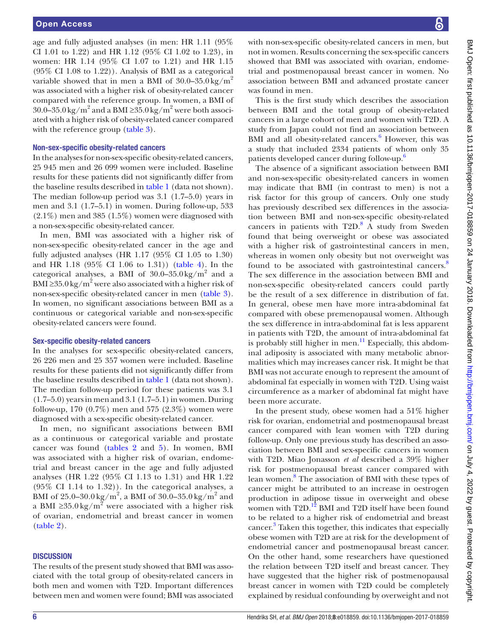age and fully adjusted analyses (in men: HR 1.11 (95% CI 1.01 to 1.22) and HR 1.12 (95% CI 1.02 to 1.23), in women: HR 1.14 (95% CI 1.07 to 1.21) and HR 1.15 (95% CI 1.08 to 1.22)). Analysis of BMI as a categorical variable showed that in men a BMI of  $30.0-35.0 \text{ kg/m}^2$ was associated with a higher risk of obesity-related cancer compared with the reference group. In women, a BMI of 30.0–35.0 kg/m<sup>2</sup> and a BMI ≥35.0 kg/m<sup>2</sup> were both associated with a higher risk of obesity-related cancer compared with the reference group [\(table](#page-3-0) 3).

#### Non-sex-specific obesity-related cancers

In the analyses for non-sex-specific obesity-related cancers, 25 945 men and 26 099 women were included. Baseline results for these patients did not significantly differ from the baseline results described in [table](#page-2-0) 1 (data not shown). The median follow-up period was 3.1 (1.7–5.0) years in men and 3.1 (1.7–5.1) in women. During follow-up, 533  $(2.1\%)$  men and 385 (1.5%) women were diagnosed with a non-sex-specific obesity-related cancer.

In men, BMI was associated with a higher risk of non-sex-specific obesity-related cancer in the age and fully adjusted analyses (HR 1.17 (95% CI 1.05 to 1.30) and HR 1.18 (95% CI 1.06 to 1.31)) ([table](#page-4-0) 4). In the categorical analyses, a BMI of  $30.0-35.0 \text{ kg/m}^2$  and a BMI ≥35.0 kg/m<sup>2</sup> were also associated with a higher risk of non-sex-specific obesity-related cancer in men [\(table](#page-3-0) 3). In women, no significant associations between BMI as a continuous or categorical variable and non-sex-specific obesity-related cancers were found.

#### Sex-specific obesity-related cancers

In the analyses for sex-specific obesity-related cancers, 26 226 men and 25 357 women were included. Baseline results for these patients did not significantly differ from the baseline results described in [table](#page-2-0) 1 (data not shown). The median follow-up period for these patients was 3.1 (1.7–5.0) years in men and 3.1 (1.7–5.1) in women. During follow-up, 170 (0.7%) men and 575 (2.3%) women were diagnosed with a sex-specific obesity-related cancer.

In men, no significant associations between BMI as a continuous or categorical variable and prostate cancer was found ([tables](#page-2-1) 2 and [5\)](#page-4-1). In women, BMI was associated with a higher risk of ovarian, endometrial and breast cancer in the age and fully adjusted analyses (HR 1.22 (95% CI 1.13 to 1.31) and HR 1.22 (95% CI 1.14 to 1.32)). In the categorical analyses, a BMI of 25.0–30.0 kg/m<sup>2</sup>, a BMI of 30.0–35.0 kg/m<sup>2</sup> and a BMI ≥35.0 kg/m<sup>2</sup> were associated with a higher risk of ovarian, endometrial and breast cancer in women ([table](#page-2-1) 2).

#### **DISCUSSION**

The results of the present study showed that BMI was associated with the total group of obesity-related cancers in both men and women with T2D. Important differences between men and women were found; BMI was associated

with non-sex-specific obesity-related cancers in men, but not in women. Results concerning the sex-specific cancers showed that BMI was associated with ovarian, endometrial and postmenopausal breast cancer in women. No association between BMI and advanced prostate cancer was found in men.

This is the first study which describes the association between BMI and the total group of obesity-related cancers in a large cohort of men and women with T2D. A study from Japan could not find an association between BMI and all obesity-related cancers.<sup>[6](#page-7-1)</sup> However, this was a study that included 2334 patients of whom only 35 patients developed cancer during follow-up.<sup>6</sup>

The absence of a significant association between BMI and non-sex-specific obesity-related cancers in women may indicate that BMI (in contrast to men) is not a risk factor for this group of cancers. Only one study has previously described sex differences in the association between BMI and non-sex-specific obesity-related cancers in patients with  $T2D$ .<sup>[8](#page-7-3)</sup> A study from Sweden found that being overweight or obese was associated with a higher risk of gastrointestinal cancers in men, whereas in women only obesity but not overweight was found to be associated with gastrointestinal cancers.<sup>[8](#page-7-3)</sup> The sex difference in the association between BMI and non-sex-specific obesity-related cancers could partly be the result of a sex difference in distribution of fat. In general, obese men have more intra-abdominal fat compared with obese premenopausal women. Although the sex difference in intra-abdominal fat is less apparent in patients with T2D, the amount of intra-abdominal fat is probably still higher in men. $^{11}$  $^{11}$  $^{11}$  Especially, this abdominal adiposity is associated with many metabolic abnormalities which may increases cancer risk. It might be that BMI was not accurate enough to represent the amount of abdominal fat especially in women with T2D. Using waist circumference as a marker of abdominal fat might have been more accurate.

In the present study, obese women had a 51% higher risk for ovarian, endometrial and postmenopausal breast cancer compared with lean women with T2D during follow-up. Only one previous study has described an association between BMI and sex-specific cancers in women with T2D. Miao Jonasson *et al* described a 39% higher risk for postmenopausal breast cancer compared with lean women.[8](#page-7-3) The association of BMI with these types of cancer might be attributed to an increase in oestrogen production in adipose tissue in overweight and obese women with T2D.<sup>12</sup> BMI and T2D itself have been found to be related to a higher risk of endometrial and breast cancer. [3](#page-6-1) Taken this together, this indicates that especially obese women with T2D are at risk for the development of endometrial cancer and postmenopausal breast cancer. On the other hand, some researchers have questioned the relation between T2D itself and breast cancer. They have suggested that the higher risk of postmenopausal breast cancer in women with T2D could be completely explained by residual confounding by overweight and not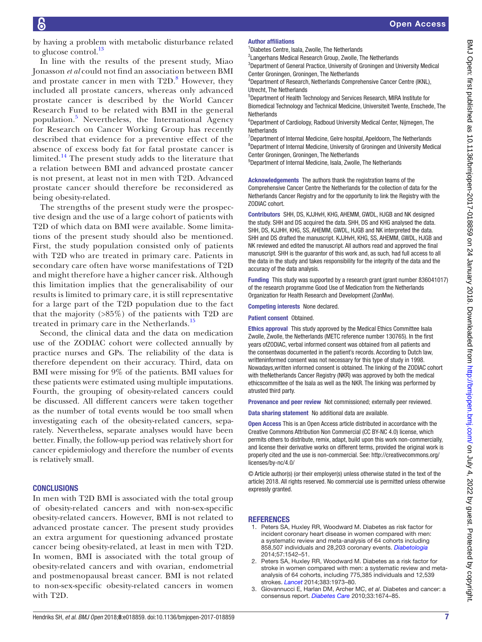by having a problem with metabolic disturbance related to glucose control.<sup>13</sup>

In line with the results of the present study, Miao Jonasson *et al* could not find an association between BMI and prostate cancer in men with  $T2D$ .<sup>[8](#page-7-3)</sup> However, they included all prostate cancers, whereas only advanced prostate cancer is described by the World Cancer Research Fund to be related with BMI in the general population.<sup>[5](#page-7-0)</sup> Nevertheless, the International Agency for Research on Cancer Working Group has recently described that evidence for a preventive effect of the absence of excess body fat for fatal prostate cancer is limited. $14$  The present study adds to the literature that a relation between BMI and advanced prostate cancer is not present, at least not in men with T2D. Advanced prostate cancer should therefore be reconsidered as being obesity-related.

The strengths of the present study were the prospective design and the use of a large cohort of patients with T2D of which data on BMI were available. Some limitations of the present study should also be mentioned. First, the study population consisted only of patients with T2D who are treated in primary care. Patients in secondary care often have worse manifestations of T2D and might therefore have a higher cancer risk. Although this limitation implies that the generalisability of our results is limited to primary care, it is still representative for a large part of the T2D population due to the fact that the majority (>85%) of the patients with T2D are treated in primary care in the Netherlands.<sup>[15](#page-7-10)</sup>

Second, the clinical data and the data on medication use of the ZODIAC cohort were collected annually by practice nurses and GPs. The reliability of the data is therefore dependent on their accuracy. Third, data on BMI were missing for 9% of the patients. BMI values for these patients were estimated using multiple imputations. Fourth, the grouping of obesity-related cancers could be discussed. All different cancers were taken together as the number of total events would be too small when investigating each of the obesity-related cancers, separately. Nevertheless, separate analyses would have been better. Finally, the follow-up period was relatively short for cancer epidemiology and therefore the number of events is relatively small.

## **CONCLUSIONS**

In men with T2D BMI is associated with the total group of obesity-related cancers and with non-sex-specific obesity-related cancers. However, BMI is not related to advanced prostate cancer. The present study provides an extra argument for questioning advanced prostate cancer being obesity-related, at least in men with T2D. In women, BMI is associated with the total group of obesity-related cancers and with ovarian, endometrial and postmenopausal breast cancer. BMI is not related to non-sex-specific obesity-related cancers in women with T2D.

#### Author affiliations

<sup>1</sup>Diabetes Centre, Isala, Zwolle, The Netherlands

<sup>2</sup> Langerhans Medical Research Group, Zwolle, The Netherlands <sup>3</sup>Department of General Practice, University of Groningen and University Medical Center Groningen, Groningen, The Netherlands

4 Department of Research, Netherlands Comprehensive Cancer Centre (IKNL), Utrecht, The Netherlands

5 Department of Health Technology and Services Research, MIRA Institute for Biomedical Technology and Technical Medicine, Universiteit Twente, Enschede, The **Netherlands** 

6 Department of Cardiology, Radboud University Medical Center, Nijmegen, The **Netherlands** 

<sup>7</sup>Department of Internal Medicine, Gelre hospital, Apeldoorn, The Netherlands <sup>8</sup>Department of Internal Medicine, University of Groningen and University Medical Center Groningen, Groningen, The Netherlands

<sup>9</sup>Department of Internal Medicine, Isala, Zwolle, The Netherlands

Acknowledgements The authors thank the registration teams of the Comprehensive Cancer Centre the Netherlands for the collection of data for the Netherlands Cancer Registry and for the opportunity to link the Registry with the ZODIAC cohort.

Contributors SHH, DS, KJJHvH, KHG, AHEMM, GWDL, HJGB and NK designed the study. SHH and DS acquired the data. SHH, DS and KHG analysed the data. SHH, DS, KJJHH, KHG, SS, AHEMM, GWDL, HJGB and NK interpreted the data. SHH and DS drafted the manuscript. KJJHvH, KHG, SS, AHEMM, GWDL, HJGB and NK reviewed and edited the manuscript. All authors read and approved the final manuscript. SHH is the guarantor of this work and, as such, had full access to all the data in the study and takes responsibility for the integrity of the data and the accuracy of the data analysis.

Funding This study was supported by a research grant (grant number 836041017) of the research programme Good Use of Medication from the Netherlands Organization for Health Research and Development (ZonMw).

Competing interests None declared.

Patient consent Obtained.

Ethics approval This study approved by the Medical Ethics Committee Isala Zwolle, Zwolle, the Netherlands (METC reference number 130765). In the first years ofZODIAC, verbal informed consent was obtained from all patients and the consentwas documented in the patient's records. According to Dutch law, writteninformed consent was not necessary for this type of study in 1998. Nowadays,written informed consent is obtained. The linking of the ZODIAC cohort with theNetherlands Cancer Registry (NKR) was approved by both the medical ethicscommittee of the Isala as well as the NKR. The linking was performed by atrusted third party.

Provenance and peer review Not commissioned; externally peer reviewed.

Data sharing statement No additional data are available.

Open Access This is an Open Access article distributed in accordance with the Creative Commons Attribution Non Commercial (CC BY-NC 4.0) license, which permits others to distribute, remix, adapt, build upon this work non-commercially, and license their derivative works on different terms, provided the original work is properly cited and the use is non-commercial. See: [http://creativecommons.org/](http://creativecommons.org/licenses/by-nc/4.0/) [licenses/by-nc/4.0/](http://creativecommons.org/licenses/by-nc/4.0/)

© Article author(s) (or their employer(s) unless otherwise stated in the text of the article) 2018. All rights reserved. No commercial use is permitted unless otherwise expressly granted.

## **REFERENCES**

- <span id="page-6-0"></span>1. Peters SA, Huxley RR, Woodward M. Diabetes as risk factor for incident coronary heart disease in women compared with men: a systematic review and meta-analysis of 64 cohorts including 858,507 individuals and 28,203 coronary events. *[Diabetologia](http://dx.doi.org/10.1007/s00125-014-3260-6)* 2014;57:1542–51.
- 2. Peters SA, Huxley RR, Woodward M. Diabetes as a risk factor for stroke in women compared with men: a systematic review and metaanalysis of 64 cohorts, including 775,385 individuals and 12,539 strokes. *[Lancet](http://dx.doi.org/10.1016/S0140-6736(14)60040-4)* 2014;383:1973–80.
- <span id="page-6-1"></span>3. Giovannucci E, Harlan DM, Archer MC, *et al*. Diabetes and cancer: a consensus report. *[Diabetes Care](http://dx.doi.org/10.2337/dc10-0666)* 2010;33:1674–85.